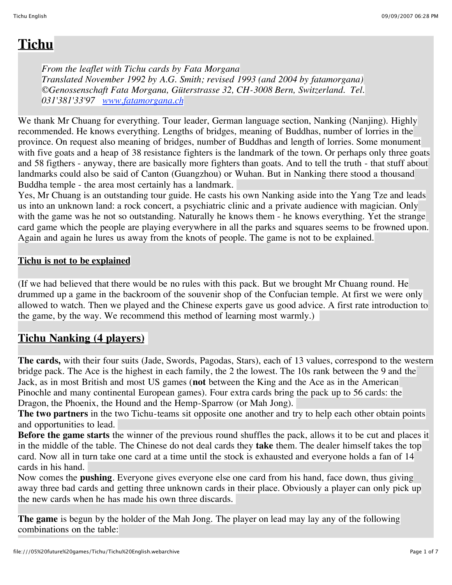# **Tichu**

*From the leaflet with Tichu cards by Fata Morgana Translated November 1992 by A.G. Smith; revised 1993 (and 2004 by fatamorgana) ©Genossenschaft Fata Morgana, Güterstrasse 32, CH-3008 Bern, Switzerland. Tel. 031'381'33'97 www.fatamorgana.ch*

We thank Mr Chuang for everything. Tour leader, German language section, Nanking (Nanjing). Highly recommended. He knows everything. Lengths of bridges, meaning of Buddhas, number of lorries in the province. On request also meaning of bridges, number of Buddhas and length of lorries. Some monument with five goats and a heap of 38 resistance fighters is the landmark of the town. Or perhaps only three goats and 58 figthers - anyway, there are basically more fighters than goats. And to tell the truth - that stuff about landmarks could also be said of Canton (Guangzhou) or Wuhan. But in Nanking there stood a thousand Buddha temple - the area most certainly has a landmark.

Yes, Mr Chuang is an outstanding tour guide. He casts his own Nanking aside into the Yang Tze and leads us into an unknown land: a rock concert, a psychiatric clinic and a private audience with magician. Only with the game was he not so outstanding. Naturally he knows them - he knows everything. Yet the strange card game which the people are playing everywhere in all the parks and squares seems to be frowned upon. Again and again he lures us away from the knots of people. The game is not to be explained.

## **Tichu is not to be explained**

(If we had believed that there would be no rules with this pack. But we brought Mr Chuang round. He drummed up a game in the backroom of the souvenir shop of the Confucian temple. At first we were only allowed to watch. Then we played and the Chinese experts gave us good advice. A first rate introduction to the game, by the way. We recommend this method of learning most warmly.)

## **Tichu Nanking (4 players)**

**The cards,** with their four suits (Jade, Swords, Pagodas, Stars), each of 13 values, correspond to the western bridge pack. The Ace is the highest in each family, the 2 the lowest. The 10s rank between the 9 and the Jack, as in most British and most US games (**not** between the King and the Ace as in the American Pinochle and many continental European games). Four extra cards bring the pack up to 56 cards: the Dragon, the Phoenix, the Hound and the Hemp-Sparrow (or Mah Jong).

**The two partners** in the two Tichu-teams sit opposite one another and try to help each other obtain points and opportunities to lead.

**Before the game starts** the winner of the previous round shuffles the pack, allows it to be cut and places it in the middle of the table. The Chinese do not deal cards they **take** them. The dealer himself takes the top card. Now all in turn take one card at a time until the stock is exhausted and everyone holds a fan of 14 cards in his hand.

Now comes the **pushing**. Everyone gives everyone else one card from his hand, face down, thus giving away three bad cards and getting three unknown cards in their place. Obviously a player can only pick up the new cards when he has made his own three discards.

**The game** is begun by the holder of the Mah Jong. The player on lead may lay any of the following combinations on the table: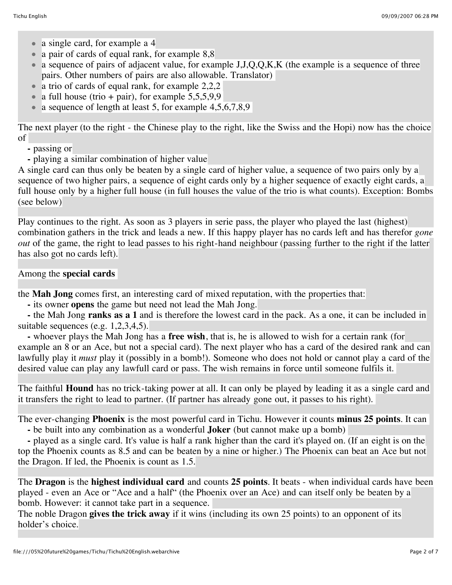- a single card, for example a 4
- a pair of cards of equal rank, for example 8,8
- a sequence of pairs of adjacent value, for example  $J, J, Q, Q, K, K$  (the example is a sequence of three pairs. Other numbers of pairs are also allowable. Translator)
- a trio of cards of equal rank, for example 2,2,2
- a full house (trio + pair), for example  $5,5,5,9,9$
- a sequence of length at least 5, for example  $4,5,6,7,8,9$

The next player (to the right - the Chinese play to the right, like the Swiss and the Hopi) now has the choice of

- **-** passing or
- **-** playing a similar combination of higher value

A single card can thus only be beaten by a single card of higher value, a sequence of two pairs only by a sequence of two higher pairs, a sequence of eight cards only by a higher sequence of exactly eight cards, a full house only by a higher full house (in full houses the value of the trio is what counts). Exception: Bombs (see below)

Play continues to the right. As soon as 3 players in serie pass, the player who played the last (highest) combination gathers in the trick and leads a new. If this happy player has no cards left and has therefor *gone out* of the game, the right to lead passes to his right-hand neighbour (passing further to the right if the latter has also got no cards left).

#### Among the **special cards**

the **Mah Jong** comes first, an interesting card of mixed reputation, with the properties that:

 **-** its owner **opens** the game but need not lead the Mah Jong.

 **-** the Mah Jong **ranks as a 1** and is therefore the lowest card in the pack. As a one, it can be included in suitable sequences (e.g. 1,2,3,4,5).

 **-** whoever plays the Mah Jong has a **free wish**, that is, he is allowed to wish for a certain rank (for example an 8 or an Ace, but not a special card). The next player who has a card of the desired rank and can lawfully play it *must* play it (possibly in a bomb!). Someone who does not hold or cannot play a card of the desired value can play any lawfull card or pass. The wish remains in force until someone fulfils it.

The faithful **Hound** has no trick-taking power at all. It can only be played by leading it as a single card and it transfers the right to lead to partner. (If partner has already gone out, it passes to his right).

The ever-changing **Phoenix** is the most powerful card in Tichu. However it counts **minus 25 points**. It can

 **-** be built into any combination as a wonderful **Joker** (but cannot make up a bomb)

 **-** played as a single card. It's value is half a rank higher than the card it's played on. (If an eight is on the top the Phoenix counts as 8.5 and can be beaten by a nine or higher.) The Phoenix can beat an Ace but not the Dragon. If led, the Phoenix is count as 1.5.

The **Dragon** is the **highest individual card** and counts **25 points**. It beats - when individual cards have been played - even an Ace or "Ace and a half" (the Phoenix over an Ace) and can itself only be beaten by a bomb. However: it cannot take part in a sequence.

The noble Dragon **gives the trick away** if it wins (including its own 25 points) to an opponent of its holder's choice.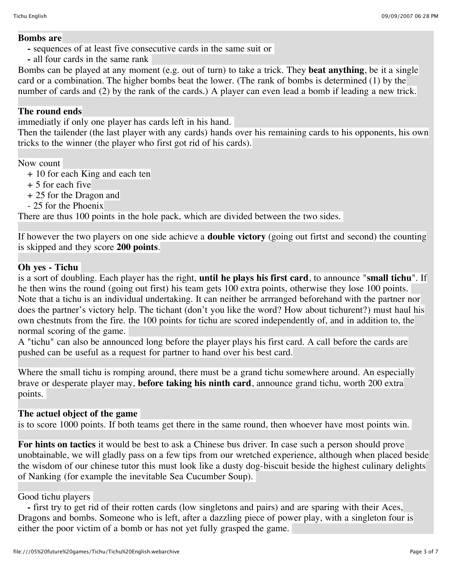#### **Bombs are**

- **-** sequences of at least five consecutive cards in the same suit or
- **-** all four cards in the same rank

Bombs can be played at any moment (e.g. out of turn) to take a trick. They **beat anything**, be it a single card or a combination. The higher bombs beat the lower. (The rank of bombs is determined (1) by the number of cards and (2) by the rank of the cards.) A player can even lead a bomb if leading a new trick.

### **The round ends**

immediatly if only one player has cards left in his hand.

Then the tailender (the last player with any cards) hands over his remaining cards to his opponents, his own tricks to the winner (the player who first got rid of his cards).

Now count

- + 10 for each King and each ten
- + 5 for each five
- + 25 for the Dragon and
- 25 for the Phoenix

There are thus 100 points in the hole pack, which are divided between the two sides.

If however the two players on one side achieve a **double victory** (going out firtst and second) the counting is skipped and they score **200 points**.

### **Oh yes - Tichu**

is a sort of doubling. Each player has the right, **until he plays his first card**, to announce "**small tichu**". If he then wins the round (going out first) his team gets 100 extra points, otherwise they lose 100 points. Note that a tichu is an individual undertaking. It can neither be arrranged beforehand with the partner nor does the partner's victory help. The tichant (don't you like the word? How about tichurent?) must haul his own chestnuts from the fire. the 100 points for tichu are scored independently of, and in addition to, the normal scoring of the game.

A "tichu" can also be announced long before the player plays his first card. A call before the cards are pushed can be useful as a request for partner to hand over his best card.

Where the small tichu is romping around, there must be a grand tichu somewhere around. An especially brave or desperate player may, **before taking his ninth card**, announce grand tichu, worth 200 extra points.

## **The actuel object of the game**

is to score 1000 points. If both teams get there in the same round, then whoever have most points win.

**For hints on tactics** it would be best to ask a Chinese bus driver. In case such a person should prove unobtainable, we will gladly pass on a few tips from our wretched experience, although when placed beside the wisdom of our chinese tutor this must look like a dusty dog-biscuit beside the highest culinary delights of Nanking (for example the inevitable Sea Cucumber Soup).

### Good tichu players

 **-** first try to get rid of their rotten cards (low singletons and pairs) and are sparing with their Aces, Dragons and bombs. Someone who is left, after a dazzling piece of power play, with a singleton four is either the poor victim of a bomb or has not yet fully grasped the game.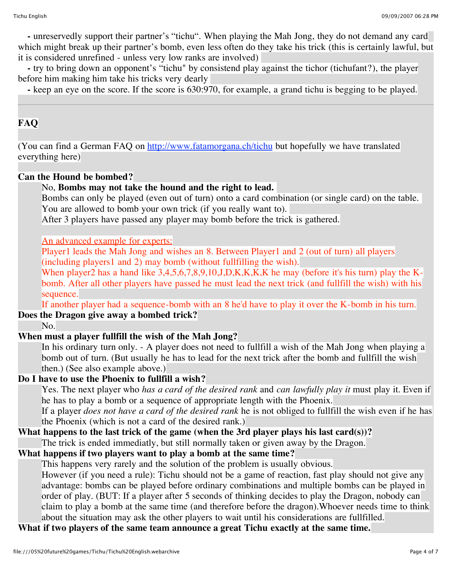**-** unreservedly support their partner's "tichu". When playing the Mah Jong, they do not demand any card which might break up their partner's bomb, even less often do they take his trick (this is certainly lawful, but it is considered unrefined - unless very low ranks are involved)

 **-** try to bring down an opponent's "tichu" by consistend play against the tichor (tichufant?), the player before him making him take his tricks very dearly

 **-** keep an eye on the score. If the score is 630:970, for example, a grand tichu is begging to be played.

## **FAQ**

(You can find a German FAQ on http://www.fatamorgana.ch/tichu but hopefully we have translated everything here)

#### **Can the Hound be bombed?**

No, **Bombs may not take the hound and the right to lead.** Bombs can only be played (even out of turn) onto a card combination (or single card) on the table. You are allowed to bomb your own trick (if you really want to). After 3 players have passed any player may bomb before the trick is gathered. An advanced example for experts: Player1 leads the Mah Jong and wishes an 8. Between Player1 and 2 (out of turn) all players (including players1 and 2) may bomb (without fullfilling the wish). When player2 has a hand like 3,4,5,6,7,8,9,10,J,D,K,K,K,K he may (before it's his turn) play the Kbomb. After all other players have passed he must lead the next trick (and fullfill the wish) with his sequence. If another player had a sequence-bomb with an 8 he'd have to play it over the K-bomb in his turn. **Does the Dragon give away a bombed trick?** No. **When must a player fullfill the wish of the Mah Jong?** In his ordinary turn only. - A player does not need to fullfill a wish of the Mah Jong when playing a bomb out of turn. (But usually he has to lead for the next trick after the bomb and fullfill the wish then.) (See also example above.) **Do I have to use the Phoenix to fullfill a wish?** Yes. The next player who *has a card of the desired rank* and *can lawfully play it* must play it. Even if he has to play a bomb or a sequence of appropriate length with the Phoenix. If a player *does not have a card of the desired rank* he is not obliged to fullfill the wish even if he has the Phoenix (which is not a card of the desired rank.)

# **What happens to the last trick of the game (when the 3rd player plays his last card(s))?**

The trick is ended immediatly, but still normally taken or given away by the Dragon.

## **What happens if two players want to play a bomb at the same time?**

This happens very rarely and the solution of the problem is usually obvious.

However (if you need a rule): Tichu should not be a game of reaction, fast play should not give any advantage: bombs can be played before ordinary combinations and multiple bombs can be played in order of play. (BUT: If a player after 5 seconds of thinking decides to play the Dragon, nobody can claim to play a bomb at the same time (and therefore before the dragon).Whoever needs time to think about the situation may ask the other players to wait until his considerations are fullfilled.

**What if two players of the same team announce a great Tichu exactly at the same time.**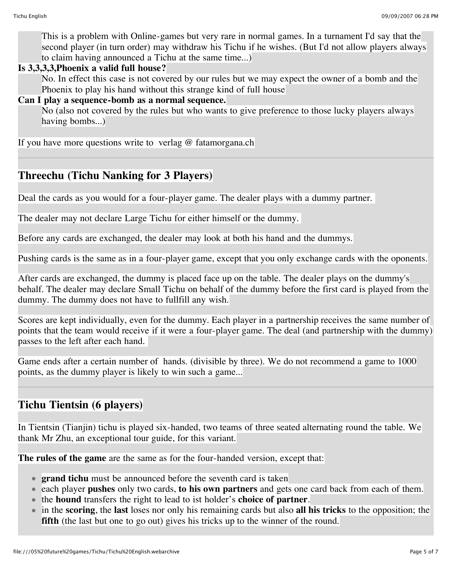This is a problem with Online-games but very rare in normal games. In a turnament I'd say that the second player (in turn order) may withdraw his Tichu if he wishes. (But I'd not allow players always to claim having announced a Tichu at the same time...)

### **Is 3,3,3,3,Phoenix a valid full house?**

No. In effect this case is not covered by our rules but we may expect the owner of a bomb and the Phoenix to play his hand without this strange kind of full house

## **Can I play a sequence-bomb as a normal sequence.**

No (also not covered by the rules but who wants to give preference to those lucky players always having bombs...)

If you have more questions write to verlag  $@$  fatamorgana.ch

## **Threechu (Tichu Nanking for 3 Players)**

Deal the cards as you would for a four-player game. The dealer plays with a dummy partner.

The dealer may not declare Large Tichu for either himself or the dummy.

Before any cards are exchanged, the dealer may look at both his hand and the dummys.

Pushing cards is the same as in a four-player game, except that you only exchange cards with the oponents.

After cards are exchanged, the dummy is placed face up on the table. The dealer plays on the dummy's behalf. The dealer may declare Small Tichu on behalf of the dummy before the first card is played from the dummy. The dummy does not have to fullfill any wish.

Scores are kept individually, even for the dummy. Each player in a partnership receives the same number of points that the team would receive if it were a four-player game. The deal (and partnership with the dummy) passes to the left after each hand.

Game ends after a certain number of hands. (divisible by three). We do not recommend a game to 1000 points, as the dummy player is likely to win such a game...

# **Tichu Tientsin (6 players)**

In Tientsin (Tianjin) tichu is played six-handed, two teams of three seated alternating round the table. We thank Mr Zhu, an exceptional tour guide, for this variant.

**The rules of the game** are the same as for the four-handed version, except that:

- **grand tichu** must be announced before the seventh card is taken
- each player **pushes** only two cards, **to his own partners** and gets one card back from each of them.
- the **hound** transfers the right to lead to ist holder's **choice of partner**.
- in the **scoring**, the **last** loses nor only his remaining cards but also **all his tricks** to the opposition; the **fifth** (the last but one to go out) gives his tricks up to the winner of the round.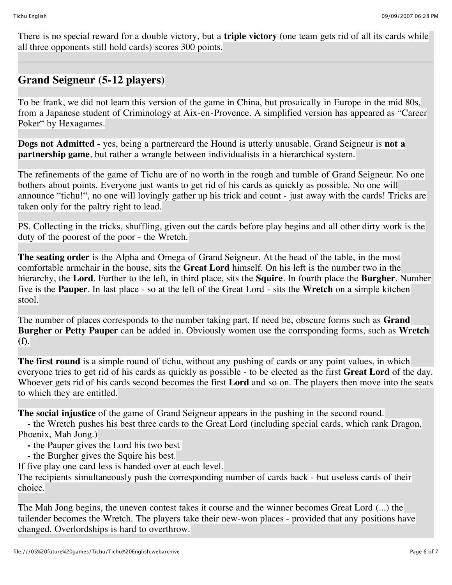There is no special reward for a double victory, but a **triple victory** (one team gets rid of all its cards while all three opponents still hold cards) scores 300 points.

# **Grand Seigneur (5-12 players)**

To be frank, we did not learn this version of the game in China, but prosaically in Europe in the mid 80s, from a Japanese student of Criminology at Aix-en-Provence. A simplified version has appeared as "Career Poker" by Hexagames.

**Dogs not Admitted** - yes, being a partnercard the Hound is utterly unusable. Grand Seigneur is **not a partnership game**, but rather a wrangle between individualists in a hierarchical system.

The refinements of the game of Tichu are of no worth in the rough and tumble of Grand Seigneur. No one bothers about points. Everyone just wants to get rid of his cards as quickly as possible. No one will announce "tichu!", no one will lovingly gather up his trick and count - just away with the cards! Tricks are taken only for the paltry right to lead.

PS. Collecting in the tricks, shuffling, given out the cards before play begins and all other dirty work is the duty of the poorest of the poor - the Wretch.

**The seating order** is the Alpha and Omega of Grand Seigneur. At the head of the table, in the most comfortable armchair in the house, sits the **Great Lord** himself. On his left is the number two in the hierarchy, the **Lord**. Further to the left, in third place, sits the **Squire**. In fourth place the **Burgher**. Number five is the **Pauper**. In last place - so at the left of the Great Lord - sits the **Wretch** on a simple kitchen stool.

The number of places corresponds to the number taking part. If need be, obscure forms such as **Grand Burgher** or **Petty Pauper** can be added in. Obviously women use the corrsponding forms, such as **Wretch (f)**.

**The first round** is a simple round of tichu, without any pushing of cards or any point values, in which everyone tries to get rid of his cards as quickly as possible - to be elected as the first **Great Lord** of the day. Whoever gets rid of his cards second becomes the first **Lord** and so on. The players then move into the seats to which they are entitled.

**The social injustice** of the game of Grand Seigneur appears in the pushing in the second round.

 **-** the Wretch pushes his best three cards to the Great Lord (including special cards, which rank Dragon, Phoenix, Mah Jong.)

- **-** the Pauper gives the Lord his two best
- **-** the Burgher gives the Squire his best.

If five play one card less is handed over at each level.

The recipients simultaneously push the corresponding number of cards back - but useless cards of their choice.

The Mah Jong begins, the uneven contest takes it course and the winner becomes Great Lord (...) the tailender becomes the Wretch. The players take their new-won places - provided that any positions have changed. Overlordships is hard to overthrow.